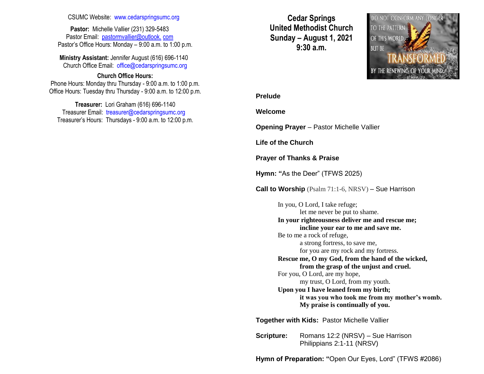#### CSUMC Website: [www.cedarspringsumc.org](http://www.cedarspringsumc.org/)

**Pastor:** Michelle Vallier (231) 329-5483 Pastor Email: [pastormvallier@outlook.](mailto:pastormvallier@outlook.com) com Pastor's Office Hours: Monday – 9:00 a.m. to 1:00 p.m.

**Ministry Assistant:** Jennifer August (616) 696-1140 Church Office Email: [office@cedarspringsumc.org](mailto:office@cedarspringsumc.org)

**Church Office Hours:** Phone Hours: Monday thru Thursday - 9:00 a.m. to 1:00 p.m. Office Hours: Tuesday thru Thursday - 9:00 a.m. to 12:00 p.m.

**Treasurer:** Lori Graham (616) 696-1140 Treasurer Email: treasurer@cedarspringsumc.org Treasurer's Hours: Thursdays - 9:00 a.m. to 12:00 p.m.

**Cedar Springs United Methodist Church Sunday – August 1, 2021 9:30 a.m.**



#### **Prelude**

#### **Welcome**

**Opening Prayer** – Pastor Michelle Vallier

**Life of the Church**

**Prayer of Thanks & Praise**

**Hymn: "**As the Deer" (TFWS 2025)

**Call to Worship** (Psalm 71:1-6, NRSV) – Sue Harrison

In you, O Lord, I take refuge; let me never be put to shame. **In your righteousness deliver me and rescue me; incline your ear to me and save me.** Be to me a rock of refuge, a strong fortress, to save me, for you are my rock and my fortress. **Rescue me, O my God, from the hand of the wicked, from the grasp of the unjust and cruel.** For you, O Lord, are my hope, my trust, O Lord, from my youth. **Upon you I have leaned from my birth; it was you who took me from my mother's womb. My praise is continually of you.**

**Together with Kids:** Pastor Michelle Vallier

**Scripture:** Romans 12:2 (NRSV) – Sue Harrison Philippians 2:1-11 (NRSV)

**Hymn of Preparation: "**Open Our Eyes, Lord" (TFWS #2086)